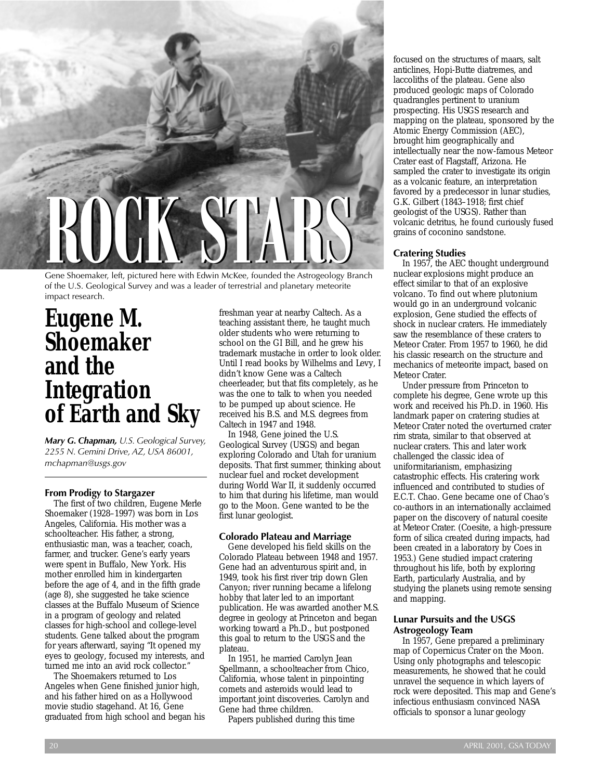

Gene Shoemaker, left, pictured here with Edwin McKee, founded the Astrogeology Branch of the U.S. Geological Survey and was a leader of terrestrial and planetary meteorite impact research.

# **Eugene M. Shoemaker and the Integration of Earth and Sky**

*Mary G. Chapman, U.S. Geological Survey, 2255 N. Gemini Drive, AZ, USA 86001, mchapman@usgs.gov*

#### **From Prodigy to Stargazer**

The first of two children, Eugene Merle Shoemaker (1928–1997) was born in Los Angeles, California. His mother was a schoolteacher. His father, a strong, enthusiastic man, was a teacher, coach, farmer, and trucker. Gene's early years were spent in Buffalo, New York. His mother enrolled him in kindergarten before the age of 4, and in the fifth grade (age 8), she suggested he take science classes at the Buffalo Museum of Science in a program of geology and related classes for high-school and college-level students. Gene talked about the program for years afterward, saying "It opened my eyes to geology, focused my interests, and turned me into an avid rock collector."

The Shoemakers returned to Los Angeles when Gene finished junior high, and his father hired on as a Hollywood movie studio stagehand. At 16, Gene graduated from high school and began his freshman year at nearby Caltech. As a teaching assistant there, he taught much older students who were returning to school on the GI Bill, and he grew his trademark mustache in order to look older. Until I read books by Wilhelms and Levy, I didn't know Gene was a Caltech cheerleader, but that fits completely, as he was the one to talk to when you needed to be pumped up about science. He received his B.S. and M.S. degrees from Caltech in 1947 and 1948.

In 1948, Gene joined the U.S. Geological Survey (USGS) and began exploring Colorado and Utah for uranium deposits. That first summer, thinking about nuclear fuel and rocket development during World War II, it suddenly occurred to him that during his lifetime, man would go to the Moon. Gene wanted to be the first lunar geologist.

# **Colorado Plateau and Marriage**

Gene developed his field skills on the Colorado Plateau between 1948 and 1957. Gene had an adventurous spirit and, in 1949, took his first river trip down Glen Canyon; river running became a lifelong hobby that later led to an important publication. He was awarded another M.S. degree in geology at Princeton and began working toward a Ph.D., but postponed this goal to return to the USGS and the plateau.

In 1951, he married Carolyn Jean Spellmann, a schoolteacher from Chico, California, whose talent in pinpointing comets and asteroids would lead to important joint discoveries. Carolyn and Gene had three children.

Papers published during this time

focused on the structures of maars, salt anticlines, Hopi-Butte diatremes, and laccoliths of the plateau. Gene also produced geologic maps of Colorado quadrangles pertinent to uranium prospecting. His USGS research and mapping on the plateau, sponsored by the Atomic Energy Commission (AEC), brought him geographically and intellectually near the now-famous Meteor Crater east of Flagstaff, Arizona. He sampled the crater to investigate its origin as a volcanic feature, an interpretation favored by a predecessor in lunar studies, G.K. Gilbert (1843–1918; first chief geologist of the USGS). Rather than volcanic detritus, he found curiously fused grains of coconino sandstone.

## **Cratering Studies**

In 1957, the AEC thought underground nuclear explosions might produce an effect similar to that of an explosive volcano. To find out where plutonium would go in an underground volcanic explosion, Gene studied the effects of shock in nuclear craters. He immediately saw the resemblance of these craters to Meteor Crater. From 1957 to 1960, he did his classic research on the structure and mechanics of meteorite impact, based on Meteor Crater.

Under pressure from Princeton to complete his degree, Gene wrote up this work and received his Ph.D. in 1960. His landmark paper on cratering studies at Meteor Crater noted the overturned crater rim strata, similar to that observed at nuclear craters. This and later work challenged the classic idea of uniformitarianism, emphasizing catastrophic effects. His cratering work influenced and contributed to studies of E.C.T. Chao. Gene became one of Chao's co-authors in an internationally acclaimed paper on the discovery of natural coesite at Meteor Crater. (Coesite, a high-pressure form of silica created during impacts, had been created in a laboratory by Coes in 1953.) Gene studied impact cratering throughout his life, both by exploring Earth, particularly Australia, and by studying the planets using remote sensing and mapping.

# **Lunar Pursuits and the USGS Astrogeology Team**

In 1957, Gene prepared a preliminary map of Copernicus Crater on the Moon. Using only photographs and telescopic measurements, he showed that he could unravel the sequence in which layers of rock were deposited. This map and Gene's infectious enthusiasm convinced NASA officials to sponsor a lunar geology